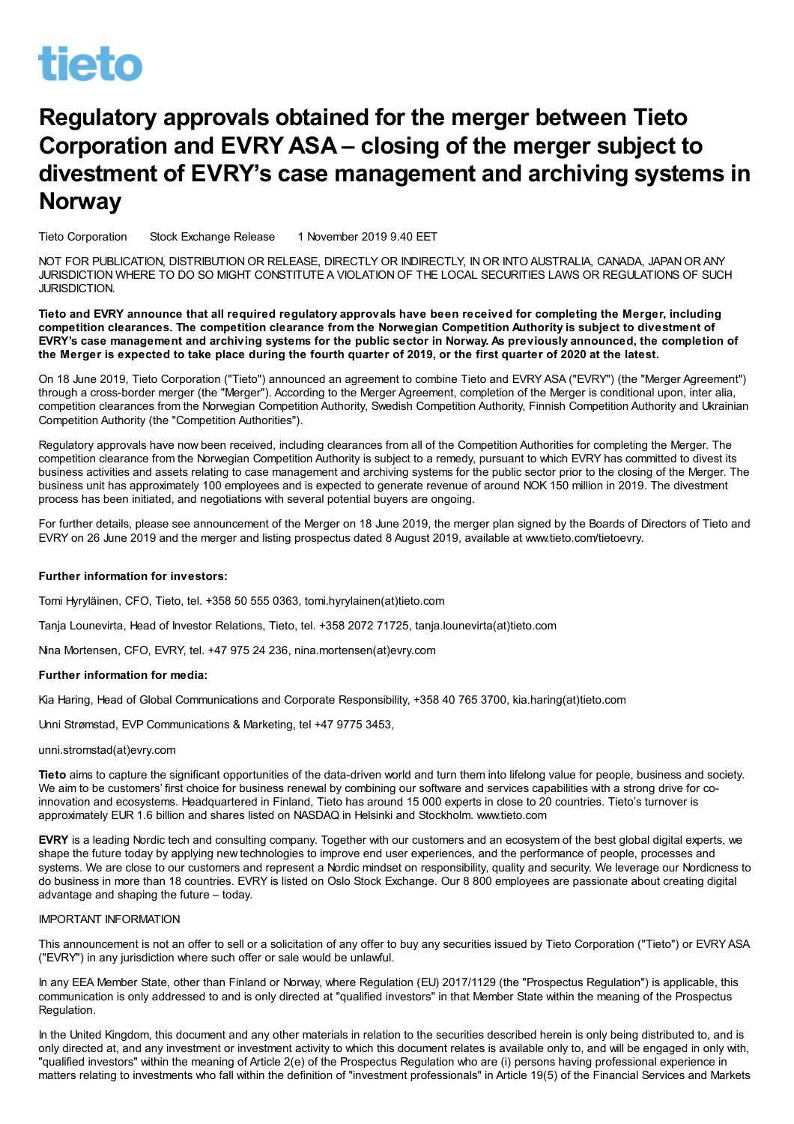# **tieto**

## Regulatory approvals obtained for the merger between Tieto Corporation and EVRY ASA – closing of the merger subject to divestment of EVRY's case management and archiving systems in **Norway**

Tieto Corporation Stock Exchange Release 1 November 2019 9.40 EET

NOT FOR PUBLICATION, DISTRIBUTIONOR RELEASE, DIRECTLY OR INDIRECTLY, INOR INTO AUSTRALIA, CANADA, JAPANOR ANY JURISDICTION WHERE TO DO SO MIGHT CONSTITUTE A VIOLATIONOF THE LOCAL SECURITIES LAWS OR REGULATIONS OF SUCH JURISDICTION.

Tieto and EVRY announce that all required regulatory approvals have been received for completing the Merger, including competition clearances. The competition clearance from the Norwegian Competition Authority is subject to divestment of EVRY's case management and archiving systems for the public sector in Norway. As previously announced, the completion of the Merger is expected to take place during the fourth quarter of 2019, or the first quarter of 2020 at the latest.

On 18 June 2019, Tieto Corporation ("Tieto") announced an agreement to combine Tieto and EVRY ASA ("EVRY") (the "Merger Agreement") through a cross-border merger (the "Merger"). According to the Merger Agreement, completion of the Merger is conditional upon, inter alia, competition clearances from the Norwegian Competition Authority, Swedish Competition Authority, Finnish Competition Authority and Ukrainian Competition Authority (the "Competition Authorities").

Regulatory approvals have now been received, including clearances from all of the Competition Authorities for completing the Merger. The competition clearance from the Norwegian Competition Authority is subject to a remedy, pursuant to which EVRY has committed to divest its business activities and assets relating to case management and archiving systems for the public sector prior to the closing of the Merger. The business unit has approximately 100 employees and is expected to generate revenue of around NOK 150 million in 2019. The divestment process has been initiated, and negotiations with several potential buyers are ongoing.

For further details, please see announcement of the Merger on 18 June 2019, the merger plan signed by the Boards of Directors of Tieto and EVRY on 26 June 2019 and the merger and listing prospectus dated 8 August 2019, available at www.tieto.com/tietoevry.

### Further information for investors:

Tomi Hyryläinen, CFO, Tieto, tel. +358 50 555 0363, tomi.hyrylainen(at)tieto.com

Tanja Lounevirta, Head of Investor Relations, Tieto, tel. +358 2072 71725, tanja.lounevirta(at)tieto.com

Nina Mortensen, CFO, EVRY, tel. +47 975 24 236, nina.mortensen(at)evry.com

### Further information for media:

Kia Haring, Head of Global Communications and Corporate Responsibility, +358 40 765 3700, kia.haring(at)tieto.com

Unni Strømstad, EVP Communications & Marketing, tel +47 9775 3453,

### unni.stromstad(at)evry.com

Tieto aims to capture the significant opportunities of the data-driven world and turn them into lifelong value for people, business and society. We aim to be customers' first choice for business renewal by combining our software and services capabilities with a strong drive for coinnovation and ecosystems. Headquartered in Finland, Tieto has around 15 000 experts in close to 20 countries. Tieto's turnover is approximately EUR 1.6 billion and shares listed on NASDAQ in Helsinki and Stockholm. www.tieto.com

EVRY is a leading Nordic tech and consulting company. Together with our customers and an ecosystem of the best global digital experts, we shape the future today by applying new technologies to improve end user experiences, and the performance of people, processes and systems. We are close to our customers and represent a Nordic mindset on responsibility, quality and security. We leverage our Nordicness to do business in more than 18 countries. EVRY is listed on Oslo Stock Exchange. Our 8 800 employees are passionate about creating digital advantage and shaping the future – today.

### IMPORTANT INFORMATION

This announcement is not an offer to sell or a solicitation of any offer to buy any securities issued by Tieto Corporation ("Tieto") or EVRY ASA ("EVRY") in any jurisdiction where such offer or sale would be unlawful.

In any EEA Member State, other than Finland or Norway, where Regulation (EU) 2017/1129 (the "Prospectus Regulation") is applicable, this communication is only addressed to and is only directed at "qualified investors" in that Member State within the meaning of the Prospectus Regulation.

In the United Kingdom, this document and any other materials in relation to the securities described herein is only being distributed to, and is only directed at, and any investment or investment activity to which this document relates is available only to, and will be engaged in only with, "qualified investors" within the meaning of Article 2(e) of the Prospectus Regulation who are (i) persons having professional experience in matters relating to investments who fall within the definition of "investment professionals" in Article 19(5) of the Financial Services and Markets